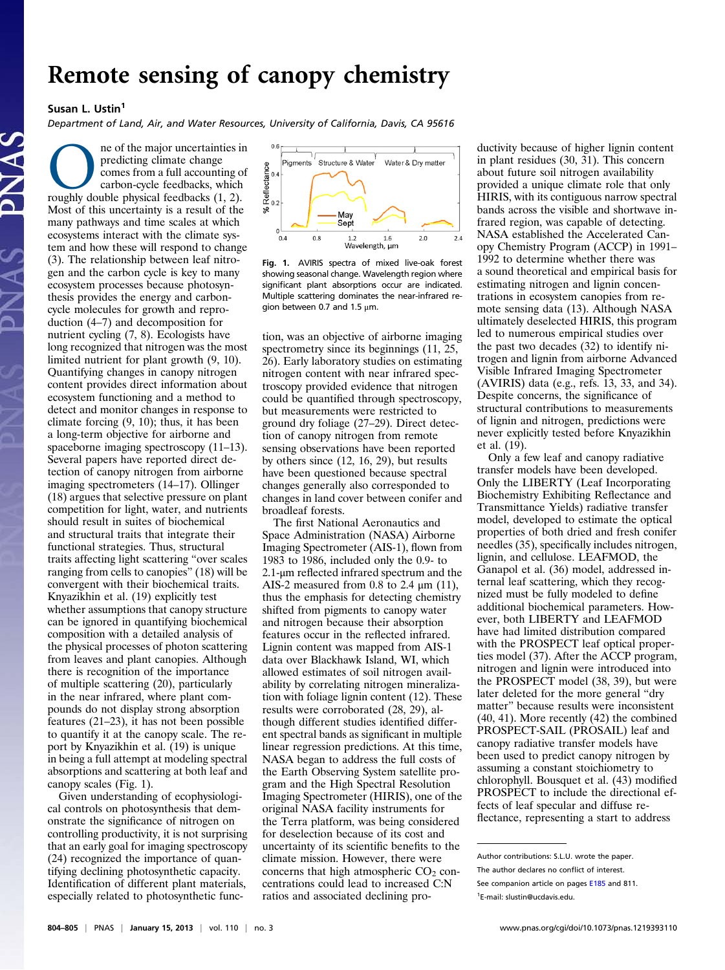## Remote sensing of canopy chemistry<br> $Sussan L. Ustin<sup>1</sup>$

**Susan L. Ustin**<br>Department of Land, Air, and Water Resources, University of California, Davis, CA 95616

**CONEXER (1)** the major uncertainties in predicting climate change comes from a full accounting of carbon-cycle feedbacks, which roughly double physical feedbacks (1, 2). predicting climate change comes from a full accounting of carbon-cycle feedbacks, which Most of this uncertainty is a result of the many pathways and time scales at which ecosystems interact with the climate system and how these will respond to change (3). The relationship between leaf nitrogen and the carbon cycle is key to many ecosystem processes because photosynthesis provides the energy and carboncycle molecules for growth and reproduction (4–7) and decomposition for nutrient cycling (7, 8). Ecologists have long recognized that nitrogen was the most limited nutrient for plant growth (9, 10). Quantifying changes in canopy nitrogen content provides direct information about ecosystem functioning and a method to detect and monitor changes in response to climate forcing (9, 10); thus, it has been a long-term objective for airborne and spaceborne imaging spectroscopy  $(11-13)$ . Several papers have reported direct detection of canopy nitrogen from airborne imaging spectrometers (14–17). Ollinger (18) argues that selective pressure on plant competition for light, water, and nutrients should result in suites of biochemical and structural traits that integrate their functional strategies. Thus, structural traits affecting light scattering "over scales ranging from cells to canopies" (18) will be convergent with their biochemical traits. Knyazikhin et al. (19) explicitly test whether assumptions that canopy structure can be ignored in quantifying biochemical composition with a detailed analysis of the physical processes of photon scattering from leaves and plant canopies. Although there is recognition of the importance of multiple scattering (20), particularly in the near infrared, where plant compounds do not display strong absorption features (21–23), it has not been possible to quantify it at the canopy scale. The report by Knyazikhin et al. (19) is unique in being a full attempt at modeling spectral absorptions and scattering at both leaf and canopy scales (Fig. 1).

Given understanding of ecophysiological controls on photosynthesis that demonstrate the significance of nitrogen on controlling productivity, it is not surprising that an early goal for imaging spectroscopy (24) recognized the importance of quantifying declining photosynthetic capacity. Identification of different plant materials, especially related to photosynthetic func-



Fig. 1. AVIRIS spectra of mixed live-oak forest showing seasonal change. Wavelength region where significant plant absorptions occur are indicated. Multiple scattering dominates the near-infrared region between 0.7 and 1.5 μm.

tion, was an objective of airborne imaging spectrometry since its beginnings  $(11, 25,$ 26). Early laboratory studies on estimating nitrogen content with near infrared spectroscopy provided evidence that nitrogen could be quantified through spectroscopy, but measurements were restricted to ground dry foliage (27–29). Direct detection of canopy nitrogen from remote sensing observations have been reported by others since (12, 16, 29), but results have been questioned because spectral changes generally also corresponded to changes in land cover between conifer and broadleaf forests.

The first National Aeronautics and Space Administration (NASA) Airborne Imaging Spectrometer (AIS-1), flown from 1983 to 1986, included only the 0.9- to 2.1-μm reflected infrared spectrum and the AIS-2 measured from 0.8 to 2.4  $\mu$ m (11), thus the emphasis for detecting chemistry shifted from pigments to canopy water and nitrogen because their absorption features occur in the reflected infrared. Lignin content was mapped from AIS-1 data over Blackhawk Island, WI, which allowed estimates of soil nitrogen availability by correlating nitrogen mineralization with foliage lignin content (12). These results were corroborated (28, 29), although different studies identified different spectral bands as significant in multiple linear regression predictions. At this time, NASA began to address the full costs of the Earth Observing System satellite program and the High Spectral Resolution Imaging Spectrometer (HIRIS), one of the original NASA facility instruments for the Terra platform, was being considered for deselection because of its cost and uncertainty of its scientific benefits to the climate mission. However, there were concerns that high atmospheric  $CO<sub>2</sub>$  concentrations could lead to increased C:N ratios and associated declining productivity because of higher lignin content in plant residues (30, 31). This concern about future soil nitrogen availability provided a unique climate role that only HIRIS, with its contiguous narrow spectral bands across the visible and shortwave infrared region, was capable of detecting. NASA established the Accelerated Canopy Chemistry Program (ACCP) in 1991– 1992 to determine whether there was a sound theoretical and empirical basis for estimating nitrogen and lignin concentrations in ecosystem canopies from remote sensing data (13). Although NASA ultimately deselected HIRIS, this program led to numerous empirical studies over the past two decades (32) to identify nitrogen and lignin from airborne Advanced Visible Infrared Imaging Spectrometer (AVIRIS) data (e.g., refs. 13, 33, and 34). Despite concerns, the significance of structural contributions to measurements of lignin and nitrogen, predictions were never explicitly tested before Knyazikhin et al. (19).

Only a few leaf and canopy radiative transfer models have been developed. Only the LIBERTY (Leaf Incorporating Biochemistry Exhibiting Reflectance and Transmittance Yields) radiative transfer model, developed to estimate the optical properties of both dried and fresh conifer needles (35), specifically includes nitrogen, lignin, and cellulose. LEAFMOD, the Ganapol et al. (36) model, addressed internal leaf scattering, which they recognized must be fully modeled to define additional biochemical parameters. However, both LIBERTY and LEAFMOD have had limited distribution compared with the PROSPECT leaf optical properties model (37). After the ACCP program, nitrogen and lignin were introduced into the PROSPECT model (38, 39), but were later deleted for the more general "dry matter" because results were inconsistent (40, 41). More recently (42) the combined PROSPECT-SAIL (PROSAIL) leaf and canopy radiative transfer models have been used to predict canopy nitrogen by assuming a constant stoichiometry to chlorophyll. Bousquet et al. (43) modified PROSPECT to include the directional effects of leaf specular and diffuse reflectance, representing a start to address

Author contributions: S.L.U. wrote the paper.

The author declares no conflict of interest.

See companion article on pages [E185](http://www.pnas.org/content/110/3/E185/1) and 811.

<sup>1</sup> E-mail: [slustin@ucdavis.edu](mailto:slustin@ucdavis.edu).